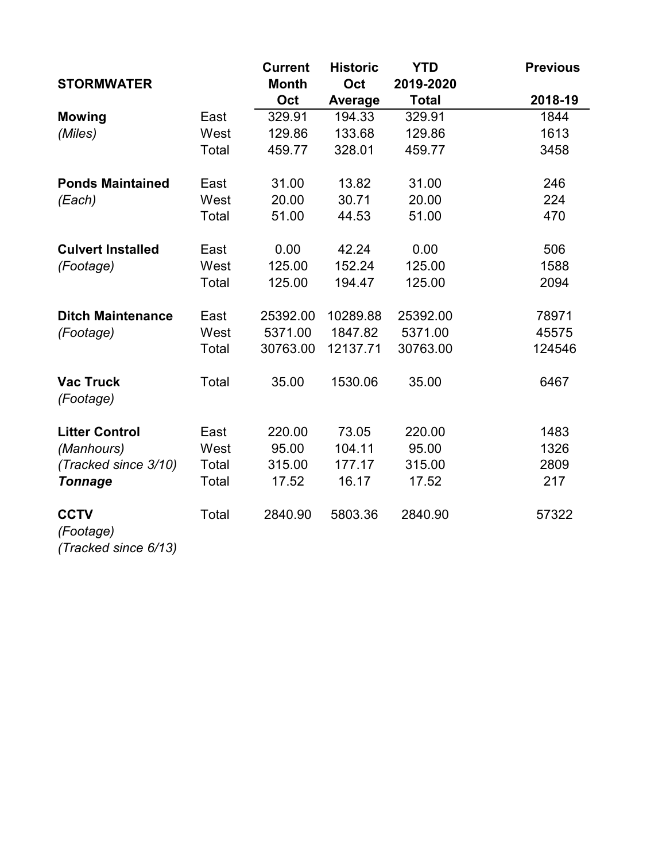|                                                  |       | <b>Current</b> | <b>Historic</b> | <b>YTD</b>   | <b>Previous</b> |
|--------------------------------------------------|-------|----------------|-----------------|--------------|-----------------|
| <b>STORMWATER</b>                                |       | <b>Month</b>   | Oct             | 2019-2020    |                 |
|                                                  |       | Oct            | Average         | <b>Total</b> | 2018-19         |
| <b>Mowing</b>                                    | East  | 329.91         | 194.33          | 329.91       | 1844            |
| (Miles)                                          | West  | 129.86         | 133.68          | 129.86       | 1613            |
|                                                  | Total | 459.77         | 328.01          | 459.77       | 3458            |
| <b>Ponds Maintained</b>                          | East  | 31.00          | 13.82           | 31.00        | 246             |
| (Each)                                           | West  | 20.00          | 30.71           | 20.00        | 224             |
|                                                  | Total | 51.00          | 44.53           | 51.00        | 470             |
| <b>Culvert Installed</b>                         | East  | 0.00           | 42.24           | 0.00         | 506             |
| (Footage)                                        | West  | 125.00         | 152.24          | 125.00       | 1588            |
|                                                  | Total | 125.00         | 194.47          | 125.00       | 2094            |
| <b>Ditch Maintenance</b>                         | East  | 25392.00       | 10289.88        | 25392.00     | 78971           |
| (Footage)                                        | West  | 5371.00        | 1847.82         | 5371.00      | 45575           |
|                                                  | Total | 30763.00       | 12137.71        | 30763.00     | 124546          |
| <b>Vac Truck</b><br>(Footage)                    | Total | 35.00          | 1530.06         | 35.00        | 6467            |
| <b>Litter Control</b>                            | East  | 220.00         | 73.05           | 220.00       | 1483            |
| (Manhours)                                       | West  | 95.00          | 104.11          | 95.00        | 1326            |
| (Tracked since 3/10)                             | Total | 315.00         | 177.17          | 315.00       | 2809            |
| <b>Tonnage</b>                                   | Total | 17.52          | 16.17           | 17.52        | 217             |
| <b>CCTV</b><br>(Footage)<br>(Tracked since 6/13) | Total | 2840.90        | 5803.36         | 2840.90      | 57322           |